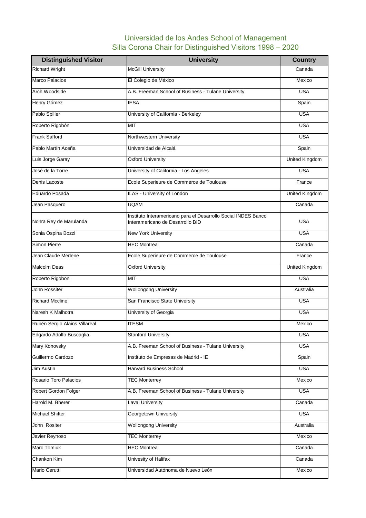## Universidad de los Andes School of Management Silla Corona Chair for Distinguished Visitors 1998 – 2020

| <b>Distinguished Visitor</b>  | <b>University</b>                                                                                  | <b>Country</b>        |
|-------------------------------|----------------------------------------------------------------------------------------------------|-----------------------|
| <b>Richard Wright</b>         | <b>McGill University</b>                                                                           | Canada                |
| Marco Palacios                | El Colegio de México                                                                               | Mexico                |
| Arch Woodside                 | A.B. Freeman School of Business - Tulane University                                                | <b>USA</b>            |
| Henry Gómez                   | <b>IESA</b>                                                                                        | Spain                 |
| Pablo Spiller                 | University of California - Berkeley                                                                | <b>USA</b>            |
| Roberto Rigobón               | <b>TIM</b>                                                                                         | <b>USA</b>            |
| Frank Safford                 | Northwestern University                                                                            | <b>USA</b>            |
| Pablo Martín Aceña            | Universidad de Alcalá                                                                              | Spain                 |
| Luis Jorge Garay              | <b>Oxford University</b>                                                                           | <b>United Kingdom</b> |
| José de la Torre              | University of California - Los Angeles                                                             | <b>USA</b>            |
| Denis Lacoste                 | Ecole Superieure de Commerce de Toulouse                                                           | France                |
| Eduardo Posada                | ILAS - University of London                                                                        | <b>United Kingdom</b> |
| Jean Pasquero                 | <b>UQAM</b>                                                                                        | Canada                |
| Nohra Rey de Marulanda        | Instituto Interamericano para el Desarrollo Social INDES Banco<br>Interamericano de Desarrollo BID | <b>USA</b>            |
| Sonia Ospina Bozzi            | <b>New York University</b>                                                                         | <b>USA</b>            |
| <b>Simon Pierre</b>           | <b>HEC Montreal</b>                                                                                | Canada                |
| Jean Claude Merlene           | Ecole Superieure de Commerce de Toulouse                                                           | France                |
| <b>Malcolm Deas</b>           | <b>Oxford University</b>                                                                           | <b>United Kingdom</b> |
| Roberto Rigobon               | <b>MIT</b>                                                                                         | <b>USA</b>            |
| <b>John Rossiter</b>          | <b>Wollongong University</b>                                                                       | Australia             |
| <b>Richard Mccline</b>        | San Francisco State University                                                                     | <b>USA</b>            |
| Naresh K Malhotra             | University of Georgia                                                                              | <b>USA</b>            |
| Rubén Sergio Alains Villareal | <b>ITESM</b>                                                                                       | Mexico                |
| Edgardo Adolfo Buscaglia      | <b>Stanford University</b>                                                                         | <b>USA</b>            |
| Mary Konovsky                 | A.B. Freeman School of Business - Tulane University                                                | <b>USA</b>            |
| Guillermo Cardozo             | Instituto de Empresas de Madrid - IE                                                               | Spain                 |
| Jim Austin                    | <b>Harvard Business School</b>                                                                     | <b>USA</b>            |
| Rosario Toro Palacios         | <b>TEC Monterrey</b>                                                                               | Mexico                |
| Robert Gordon Folger          | A.B. Freeman School of Business - Tulane University                                                | <b>USA</b>            |
| Harold M. Bherer              | <b>Laval University</b>                                                                            | Canada                |
| Michael Shifter               | Georgetown University                                                                              | <b>USA</b>            |
| John Rositer                  | <b>Wollongong University</b>                                                                       | Australia             |
| Javier Reynoso                | <b>TEC Monterrey</b>                                                                               | Mexico                |
| <b>Marc Tomiuk</b>            | <b>HEC Montreal</b>                                                                                | Canada                |
| Chankon Kim                   | Univesity of Halifax                                                                               | Canada                |
| Mario Cerutti                 | Universidad Autónoma de Nuevo León                                                                 | Mexico                |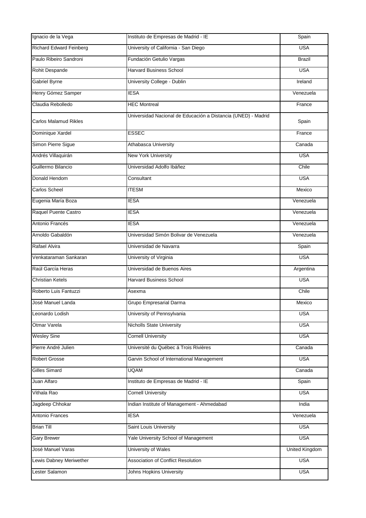| Ignacio de la Vega             | Instituto de Empresas de Madrid - IE                          | Spain                 |
|--------------------------------|---------------------------------------------------------------|-----------------------|
| <b>Richard Edward Feinberg</b> | University of California - San Diego                          | <b>USA</b>            |
| Paulo Ribeiro Sandroni         | Fundación Getulio Vargas                                      | <b>Brazil</b>         |
| Rohit Despande                 | <b>Harvard Business School</b>                                | <b>USA</b>            |
| Gabriel Byrne                  | University College - Dublin                                   | Ireland               |
| Henry Gómez Samper             | <b>IESA</b>                                                   | Venezuela             |
| Claudia Rebolledo              | <b>HEC Montreal</b>                                           | France                |
| <b>Carlos Malamud Rikles</b>   | Universidad Nacional de Educación a Distancia (UNED) - Madrid | Spain                 |
| Dominique Xardel               | <b>ESSEC</b>                                                  | France                |
| Simon Pierre Sigue             | Athabasca University                                          | Canada                |
| Andrés Villaquirán             | <b>New York University</b>                                    | <b>USA</b>            |
| Guillermo Bilancio             | Universidad Adolfo Ibáñez                                     | Chile                 |
| Donald Hendom                  | Consultant                                                    | <b>USA</b>            |
| Carlos Scheel                  | <b>ITESM</b>                                                  | Mexico                |
| Eugenia María Boza             | <b>IESA</b>                                                   | Venezuela             |
| Raquel Puente Castro           | <b>IESA</b>                                                   | Venezuela             |
| Antonio Francés                | <b>IESA</b>                                                   | Venezuela             |
| Arnoldo Gabaldón               | Universidad Simón Bolivar de Venezuela                        | Venezuela             |
| Rafael Alvira                  | Universidad de Navarra                                        | Spain                 |
| Venkataraman Sankaran          | University of Virginia                                        | <b>USA</b>            |
| Raúl García Heras              | Universidad de Buenos Aires                                   | Argentina             |
| <b>Christian Ketels</b>        | Harvard Business School                                       | <b>USA</b>            |
| Roberto Luis Fantuzzi          | Asexma                                                        | Chile                 |
| José Manuel Landa              | Grupo Empresarial Darma                                       | Mexico                |
| Leonardo Lodish                | University of Pennsylvania                                    | <b>USA</b>            |
| Otmar Varela                   | <b>Nicholls State University</b>                              | <b>USA</b>            |
| <b>Wesley Sine</b>             | <b>Cornell University</b>                                     | <b>USA</b>            |
| Pierre André Julien            | Université du Québec á Trois Rivières                         | Canada                |
| <b>Robert Grosse</b>           | Garvin School of International Management                     | <b>USA</b>            |
| <b>Gilles Simard</b>           | <b>UQAM</b>                                                   | Canada                |
| Juan Alfaro                    | Instituto de Empresas de Madrid - IE                          | Spain                 |
| Vithala Rao                    | <b>Cornell University</b>                                     | <b>USA</b>            |
| Jagdeep Chhokar                | Indian Institute of Management - Ahmedabad                    | India                 |
| Antonio Frances                | <b>IESA</b>                                                   | Venezuela             |
| <b>Brian Till</b>              | Saint Louis University                                        | <b>USA</b>            |
| <b>Gary Brewer</b>             | Yale University School of Management                          | <b>USA</b>            |
| José Manuel Varas              | <b>University of Wales</b>                                    | <b>United Kingdom</b> |
| Lewis Dabney Meriwether        | Association of Conflict Resolution                            | <b>USA</b>            |
| Lester Salamon                 | Johns Hopkins University                                      | <b>USA</b>            |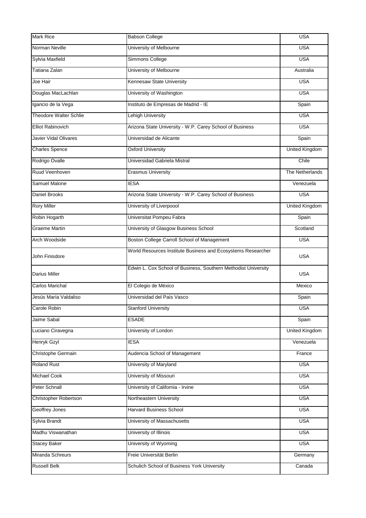| <b>Mark Rice</b>              | <b>Babson College</b>                                          | <b>USA</b>            |
|-------------------------------|----------------------------------------------------------------|-----------------------|
| Norman Neville                | University of Melbourne                                        | <b>USA</b>            |
| Sylvia Maxfield               | Simmons College                                                | <b>USA</b>            |
| Tatiana Zalan                 | University of Melbourne                                        | Australia             |
| Joe Hair                      | Kennesaw State University                                      | <b>USA</b>            |
| Douglas MacLachlan            | University of Washington                                       | <b>USA</b>            |
| Igancio de la Vega            | Instituto de Empresas de Madrid - IE                           | Spain                 |
| <b>Theodore Walter Schlie</b> | Lehigh University                                              | <b>USA</b>            |
| Elliot Rabinovich             | Arizona State University - W.P. Carey School of Business       | <b>USA</b>            |
| <b>Javier Vidal Olivares</b>  | Universidad de Alicante                                        | Spain                 |
| <b>Charles Spence</b>         | <b>Oxford University</b>                                       | <b>United Kingdom</b> |
| Rodrigo Ovalle                | Universidad Gabriela Mistral                                   | Chile                 |
| Ruud Veenhoven                | <b>Erasmus University</b>                                      | The Netherlands       |
| Samuel Malone                 | <b>IESA</b>                                                    | Venezuela             |
| Daniel Brooks                 | Arizona State University - W.P. Carey School of Business       | <b>USA</b>            |
| <b>Rory Miller</b>            | University of Liverpoool                                       | <b>United Kingdom</b> |
| Robin Hogarth                 | Universitat Pompeu Fabra                                       | Spain                 |
| <b>Graeme Martin</b>          | University of Glasgow Business School                          | Scotland              |
| Arch Woodside                 | Boston College Carroll School of Management                    | <b>USA</b>            |
| John Finisdore                | World Resources Institute Business and Ecosystems Researcher   | <b>USA</b>            |
| Darius Miller                 | Edwin L. Cox School of Business, Southern Methodist University | <b>USA</b>            |
| Carlos Marichal               | El Colegio de México                                           | Mexico                |
| Jesús María Valdaliso         | Universidad del País Vasco                                     | Spain                 |
| Carole Robin                  | <b>Stanford University</b>                                     | <b>USA</b>            |
| Jaime Sabal                   | <b>ESADE</b>                                                   | Spain                 |
| Luciano Ciravegna             | University of London                                           | United Kingdom        |
| Henryk Gzyl                   | <b>IESA</b>                                                    | Venezuela             |
| Christophe Germain            | Audencia School of Management                                  | France                |
| <b>Roland Rust</b>            | University of Maryland                                         | <b>USA</b>            |
| <b>Michael Cook</b>           | University of Missouri                                         | <b>USA</b>            |
| Peter Schnall                 | University of California - Irvine                              | <b>USA</b>            |
| <b>Christopher Robertson</b>  | Northeastern University                                        | <b>USA</b>            |
| Geoffrey Jones                | <b>Harvard Business School</b>                                 | <b>USA</b>            |
| Sylvia Brandt                 | University of Massachusetts                                    | <b>USA</b>            |
| Madhu Viswanathan             | University of Illinois                                         | <b>USA</b>            |
| <b>Stacey Baker</b>           | University of Wyoming                                          | <b>USA</b>            |
| Miranda Schreurs              | Freie Universität Berlin                                       | Germany               |
| <b>Russell Belk</b>           | Schulich School of Business York University                    | Canada                |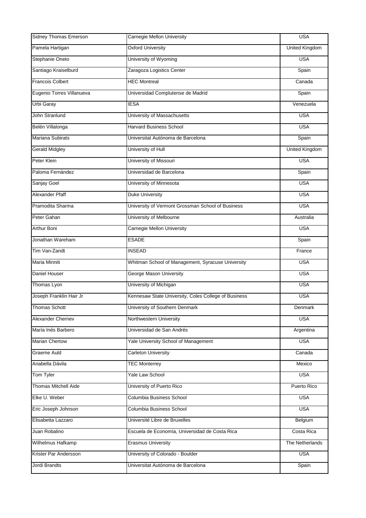| Sidney Thomas Emerson       | Carnegie Mellon University                           | <b>USA</b>            |
|-----------------------------|------------------------------------------------------|-----------------------|
| Pamela Hartigan             | <b>Oxford University</b>                             | <b>United Kingdom</b> |
| Stephanie Oneto             | University of Wyoming                                | <b>USA</b>            |
| Santiago Kraiselburd        | Zaragoza Logistics Center                            | Spain                 |
| <b>Francois Colbert</b>     | <b>HEC Montreal</b>                                  | Canada                |
| Eugenio Torres Villanueva   | Universidad Complutense de Madrid                    | Spain                 |
| Urbi Garay                  | <b>IESA</b>                                          | Venezuela             |
| John Stranlund              | University of Massachusetts                          | <b>USA</b>            |
| Belén Villalonga            | <b>Harvard Business School</b>                       | <b>USA</b>            |
| <b>Mariana Subirats</b>     | Universitat Autónoma de Barcelona                    | Spain                 |
| <b>Gerald Midgley</b>       | University of Hull                                   | <b>United Kingdom</b> |
| Peter Klein                 | University of Missouri                               | <b>USA</b>            |
| Paloma Fernández            | Universidad de Barcelona                             | Spain                 |
| Sanjay Goel                 | University of Minnesota                              | <b>USA</b>            |
| Alexander Pfaff             | <b>Duke University</b>                               | <b>USA</b>            |
| Pramodita Sharma            | University of Vermont Grossman School of Business    | <b>USA</b>            |
| Peter Gahan                 | University of Melbourne                              | Australia             |
| Arthur Boni                 | Carnegie Mellon University                           | <b>USA</b>            |
| Jonathan Wareham            | <b>ESADE</b>                                         | Spain                 |
| Tim Van-Zandt               | <b>INSEAD</b>                                        | France                |
| Maria Minniti               | Whitman School of Management, Syracuse University    | <b>USA</b>            |
| Daniel Houser               | George Mason University                              | <b>USA</b>            |
| Thomas Lyon                 | University of Michigan                               | <b>USA</b>            |
| Joseph Franklin Hair Jr     | Kennesaw State University, Coles College of Business | <b>USA</b>            |
| <b>Thomas Schott</b>        | University of Southern Denmark                       | <b>Denmark</b>        |
| Alexander Chernev           | Northwestern University                              | <b>USA</b>            |
| María Inés Barbero          | Universidad de San Andrés                            | Argentina             |
| <b>Marian Chertow</b>       | Yale University School of Management                 | <b>USA</b>            |
| Graeme Auld                 | <b>Carleton University</b>                           | Canada                |
| Anabella Dávila             | <b>TEC Monterrey</b>                                 | Mexico                |
| Tom Tyler                   | Yale Law School                                      | <b>USA</b>            |
| <b>Thomas Mitchell Aide</b> | University of Puerto Rico                            | Puerto Rico           |
| Elke U. Weber               | Columbia Business School                             | <b>USA</b>            |
| Eric Joseph Johnson         | Columbia Business School                             | <b>USA</b>            |
| Elisabetta Lazzaro          | Université Libre de Bruxelles                        | Belgium               |
| Juan Robalino               | Escuela de Economía, Universidad de Costa Rica       | Costa Rica            |
| Wilhelmus Hafkamp           | <b>Erasmus University</b>                            | The Netherlands       |
| Krister Par Andersson       | University of Colorado - Boulder                     | <b>USA</b>            |
| Jordi Brandts               | Universitat Autónoma de Barcelona                    | Spain                 |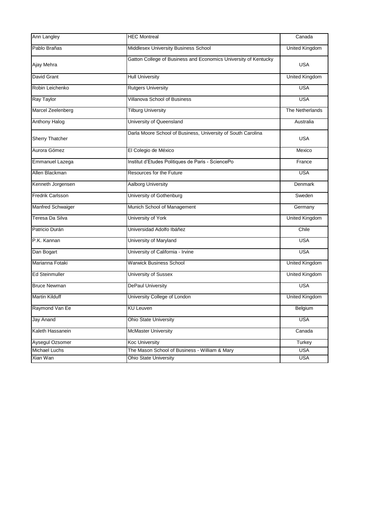| Ann Langley              | <b>HEC Montreal</b>                                             | Canada                |
|--------------------------|-----------------------------------------------------------------|-----------------------|
| Pablo Brañas             | Middlesex University Business School                            | <b>United Kingdom</b> |
| Ajay Mehra               | Gatton College of Business and Economics University of Kentucky | <b>USA</b>            |
| David Grant              | <b>Hull University</b>                                          | <b>United Kingdom</b> |
| Robin Leichenko          | <b>Rutgers University</b>                                       | <b>USA</b>            |
| Ray Taylor               | <b>Villanova School of Business</b>                             | <b>USA</b>            |
| Marcel Zeelenberg        | <b>Tilburg University</b>                                       | The Netherlands       |
| <b>Anthony Halog</b>     | University of Queensland                                        | Australia             |
| Sherry Thatcher          | Darla Moore School of Business, University of South Carolina    | <b>USA</b>            |
| Aurora Gómez             | El Colegio de México                                            | Mexico                |
| Emmanuel Lazega          | Institut d'Etudes Politiques de Paris - SciencePo               | France                |
| Allen Blackman           | Resources for the Future                                        | <b>USA</b>            |
| Kenneth Jorgensen        | Aalborg University                                              | <b>Denmark</b>        |
| <b>Fredrik Carlsson</b>  | University of Gothenburg                                        | Sweden                |
| <b>Manfred Schwaiger</b> | Munich School of Management                                     | Germany               |
| Teresa Da Silva          | University of York                                              | <b>United Kingdom</b> |
| Patricio Durán           | Universidad Adolfo Ibáñez                                       | Chile                 |
| P.K. Kannan              | University of Maryland                                          | <b>USA</b>            |
| Dan Bogart               | University of California - Irvine                               | <b>USA</b>            |
| Marianna Fotaki          | <b>Warwick Business School</b>                                  | <b>United Kingdom</b> |
| <b>Ed Steinmuller</b>    | <b>University of Sussex</b>                                     | <b>United Kingdom</b> |
| <b>Bruce Newman</b>      | <b>DePaul University</b>                                        | <b>USA</b>            |
| Martin Kilduff           | University College of London                                    | <b>United Kingdom</b> |
| Raymond Van Ee           | <b>KU Leuven</b>                                                | Belgium               |
| Jay Anand                | <b>Ohio State University</b>                                    | <b>USA</b>            |
| Kaleth Hassanein         | <b>McMaster University</b>                                      | Canada                |
| Aysegul Ozsomer          | <b>Koc University</b>                                           | Turkey                |
| <b>Michael Luchs</b>     | <b>USA</b><br>The Mason School of Business - William & Mary     |                       |
| Xian Wan                 | <b>USA</b><br><b>Ohio State University</b>                      |                       |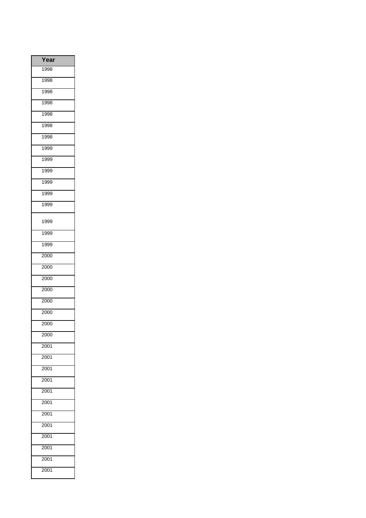| Year |
|------|
| 1998 |
| 1998 |
| 1998 |
| 1998 |
| 1998 |
| 1998 |
| 1998 |
| 1999 |
| 1999 |
| 1999 |
| 1999 |
| 1999 |
| 1999 |
| 1999 |
| 1999 |
| 1999 |
| 2000 |
| 2000 |
| 2000 |
| 2000 |
| 2000 |
| 2000 |
| 2000 |
| 2000 |
| 2001 |
| 2001 |
| 2001 |
| 2001 |
| 2001 |
| 2001 |
| 2001 |
| 2001 |
| 2001 |
| 2001 |
| 2001 |
| 2001 |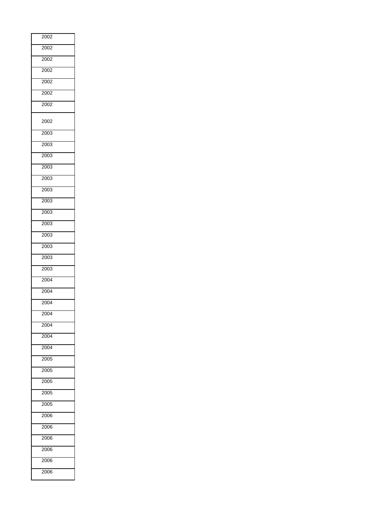| 2002              |
|-------------------|
| 2002              |
| 2002              |
| 2002              |
| 2002              |
| 2002              |
| 2002              |
| 2002              |
| 2003              |
| 2003              |
| 2003              |
| 2003              |
| 2003              |
| 2003              |
| 2003              |
| 2003              |
| 2003              |
| 2003              |
| 2003              |
| 2003              |
| 2003              |
| 2004              |
| 2004              |
| 2004              |
| $\overline{2}004$ |
| 2004              |
| 2004              |
| 2004              |
| 2005              |
| 2005              |
| 2005              |
| 2005              |
| 2005              |
| 2006              |
| 2006              |
| 2006              |
| 2006              |
| 2006              |
| 2006              |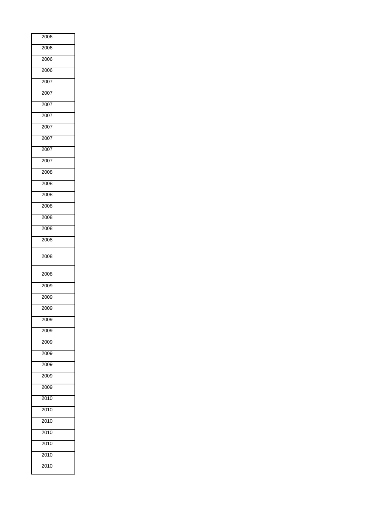| 2006 |  |
|------|--|
| 2006 |  |
| 2006 |  |
| 2006 |  |
| 2007 |  |
| 2007 |  |
| 2007 |  |
| 2007 |  |
| 2007 |  |
| 2007 |  |
| 2007 |  |
| 2007 |  |
| 2008 |  |
| 2008 |  |
| 2008 |  |
| 2008 |  |
| 2008 |  |
| 2008 |  |
| 2008 |  |
| 2008 |  |
| 2008 |  |
| 2009 |  |
| 2009 |  |
| 2009 |  |
| 2009 |  |
| 2009 |  |
| 2009 |  |
| 2009 |  |
| 2009 |  |
| 2009 |  |
| 2009 |  |
| 2010 |  |
| 2010 |  |
| 2010 |  |
| 2010 |  |
| 2010 |  |
| 2010 |  |
| 2010 |  |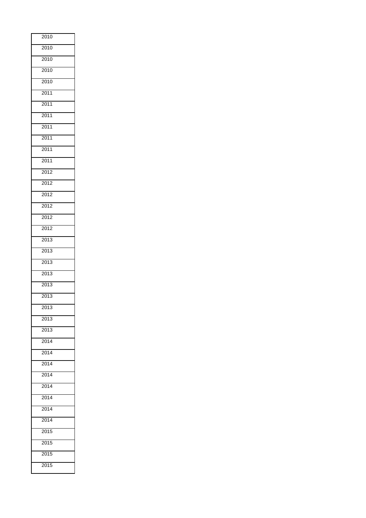| 2010                |
|---------------------|
| $\frac{1}{2010}$    |
| 2010                |
| 2010                |
| 2010                |
| 2011                |
| 2011                |
| 2011                |
| $\overline{2011}$   |
| 2011                |
| 2011                |
| 2011                |
| 2012                |
| 2012                |
| 2012                |
| 2012                |
| 2012                |
| 2012                |
| 2013                |
| 2013                |
| 2013                |
| 2013                |
| 2013                |
| $\frac{1}{2013}$    |
| $\frac{2013}{2013}$ |
| 2013                |
| 2013                |
| 2014                |
| 2014                |
| 2014                |
| 2014                |
| 2014                |
| 2014                |
| 2014                |
| 2014                |
| $\frac{1}{2015}$    |
| 2015                |
| 2015                |
| 2015                |